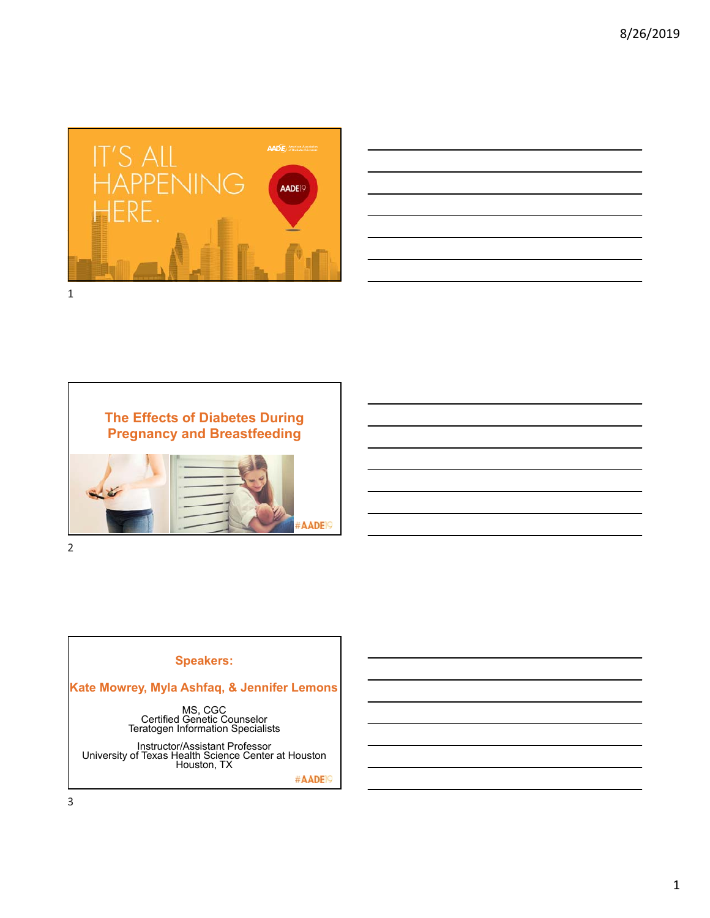

| <u>successive and the second control of the second control of the second control of the second control of the second</u> |  |  |  |
|--------------------------------------------------------------------------------------------------------------------------|--|--|--|
|                                                                                                                          |  |  |  |
|                                                                                                                          |  |  |  |
|                                                                                                                          |  |  |  |
| <u> 1989 - Andrea Santa Andrea Andrea Andrea Andrea Andrea Andrea Andrea Andrea Andrea Andrea Andrea Andrea Andr</u>     |  |  |  |





## **Speakers:**

**Kate Mowrey, Myla Ashfaq, & Jennifer Lemons**

MS, CGC<br>Certified Genetic Counselor<br>Teratogen Information Specialists

Instructor/Assistant Professor University of Texas Health Science Center at Houston Houston, TX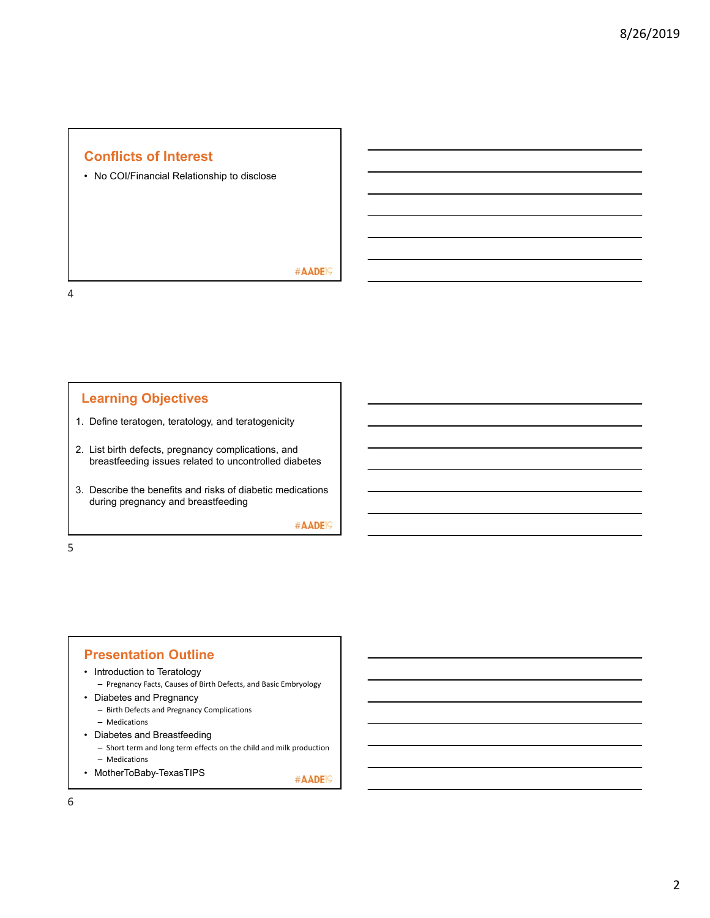# **Conflicts of Interest**

• No COI/Financial Relationship to disclose

#AADE<sup>19</sup>

4

# **Learning Objectives**

- 1. Define teratogen, teratology, and teratogenicity
- 2. List birth defects, pregnancy complications, and breastfeeding issues related to uncontrolled diabetes
- 3. Describe the benefits and risks of diabetic medications during pregnancy and breastfeeding

#AADE<sup>19</sup>

5

# **Presentation Outline**

- Introduction to Teratology
	- Pregnancy Facts, Causes of Birth Defects, and Basic Embryology
- Diabetes and Pregnancy
	- Birth Defects and Pregnancy Complications
	- Medications
- Diabetes and Breastfeeding
	- Short term and long term effects on the child and milk production
	- Medications
- MotherToBaby-TexasTIPS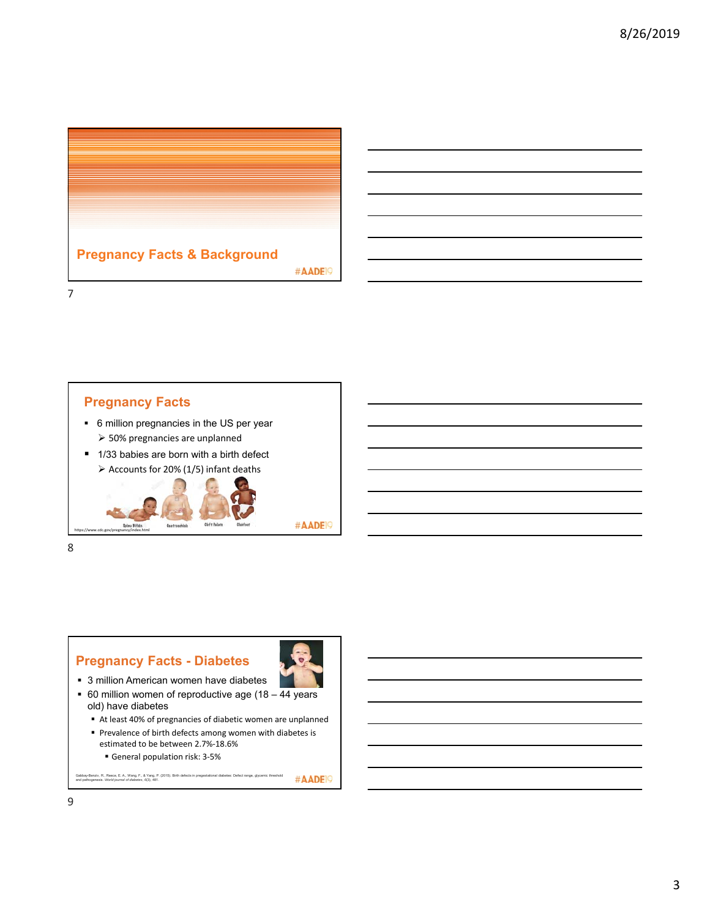



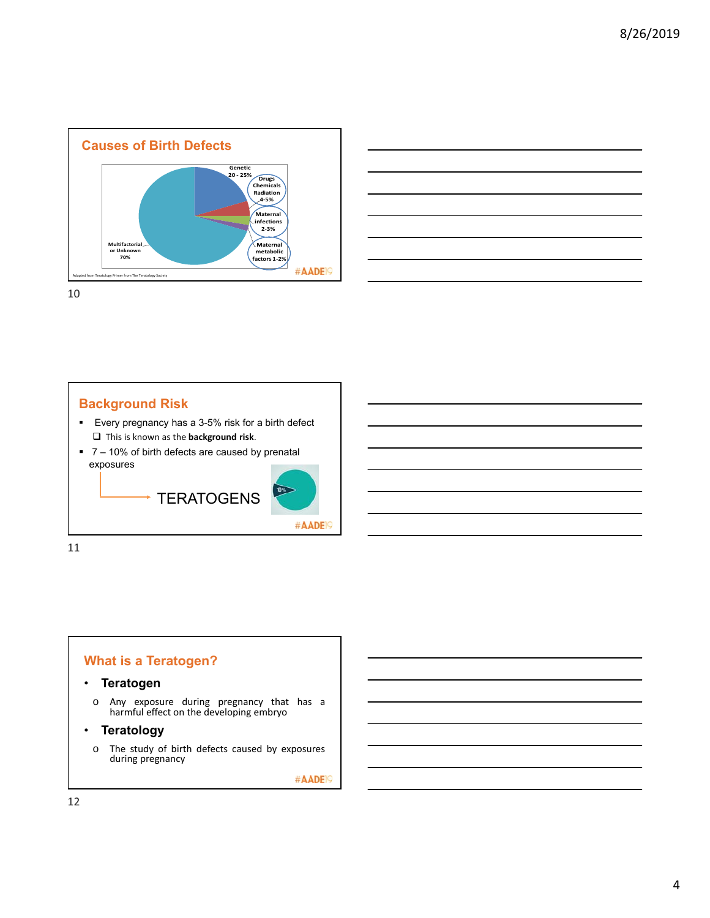



## **Background Risk**

- Every pregnancy has a 3-5% risk for a birth defect This is known as the **background risk**.
- 7 10% of birth defects are caused by prenatal exposures



11

# **What is a Teratogen?**

### • **Teratogen**

o Any exposure during pregnancy that has a harmful effect on the developing embryo

### • **Teratology**

o The study of birth defects caused by exposures during pregnancy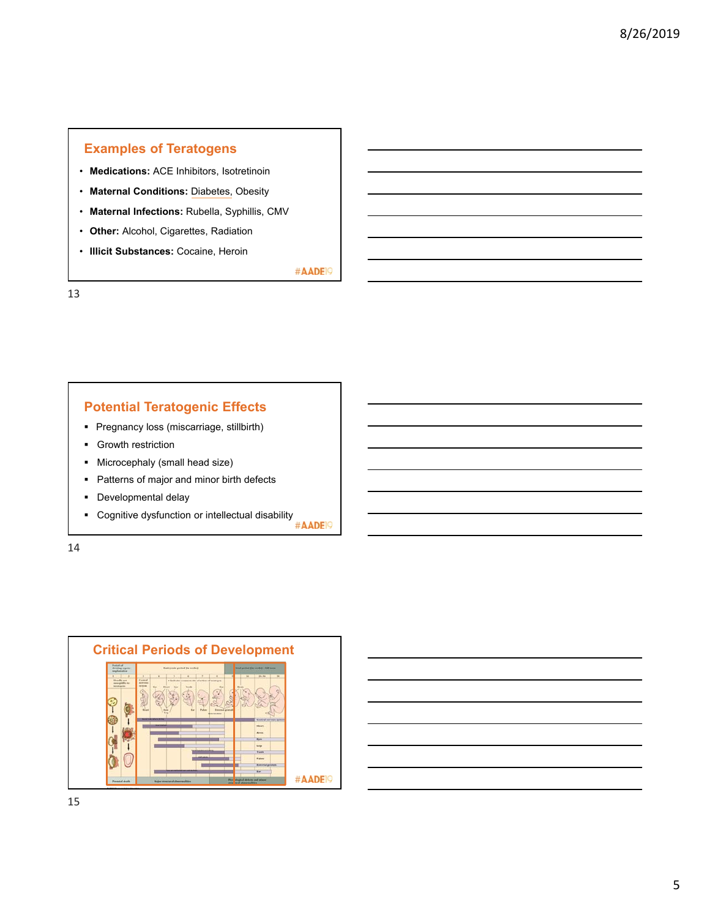# **Examples of Teratogens**

- **Medications:** ACE Inhibitors, Isotretinoin
- **Maternal Conditions:** Diabetes, Obesity
- **Maternal Infections:** Rubella, Syphillis, CMV
- **Other:** Alcohol, Cigarettes, Radiation
- **Illicit Substances:** Cocaine, Heroin

#AADE<sup>19</sup>

13

## **Potential Teratogenic Effects**

- **Pregnancy loss (miscarriage, stillbirth)**
- **Growth restriction**
- **Microcephaly (small head size)**
- Patterns of major and minor birth defects
- **Developmental delay**
- Cognitive dysfunction or intellectual disability<br> **EXECUTE:**

14



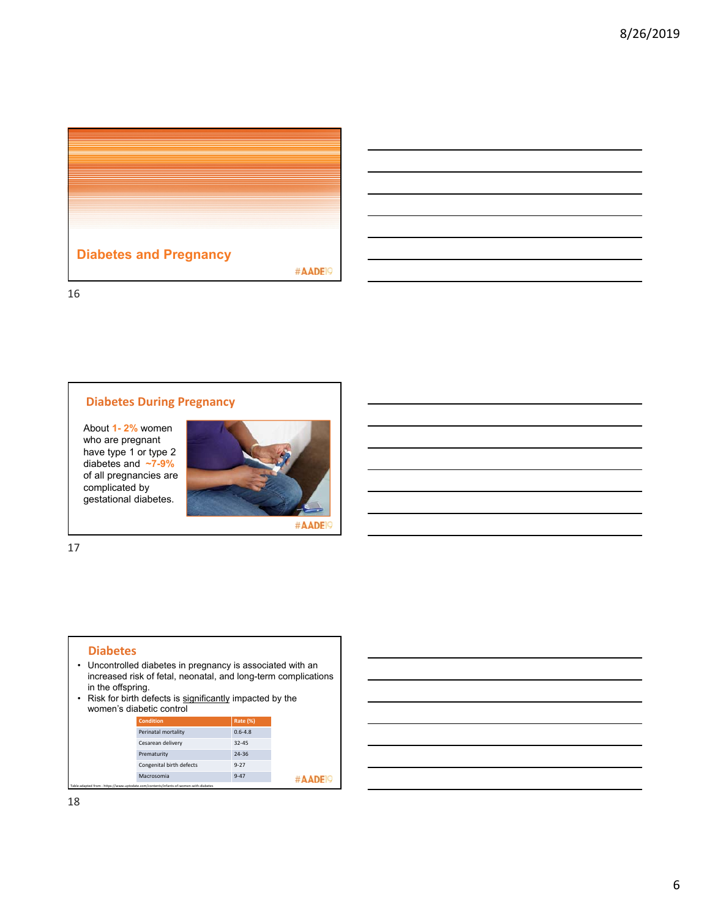

### **Diabetes During Pregnancy**

About **1- 2%** women who are pregnant have type 1 or type 2 diabetes and **~7-9%**  of all pregnancies are complicated by gestational diabetes.



17

#### **Diabetes**

- Uncontrolled diabetes in pregnancy is associated with an increased risk of fetal, neonatal, and long-term complications in the offspring.
- Risk for birth defects is significantly impacted by the women's diabetic control

| <b>Condition</b>                                                                      | <b>Rate (%)</b> |
|---------------------------------------------------------------------------------------|-----------------|
| Perinatal mortality                                                                   | $0.6 - 4.8$     |
| Cesarean delivery                                                                     | $32 - 45$       |
| Prematurity                                                                           | 24-36           |
| Congenital birth defects                                                              | $9 - 27$        |
| Macrosomia                                                                            | $9 - 47$        |
| Table adapted from - https://www.uptodate.com/contents/infants-of-women-with-diabetes |                 |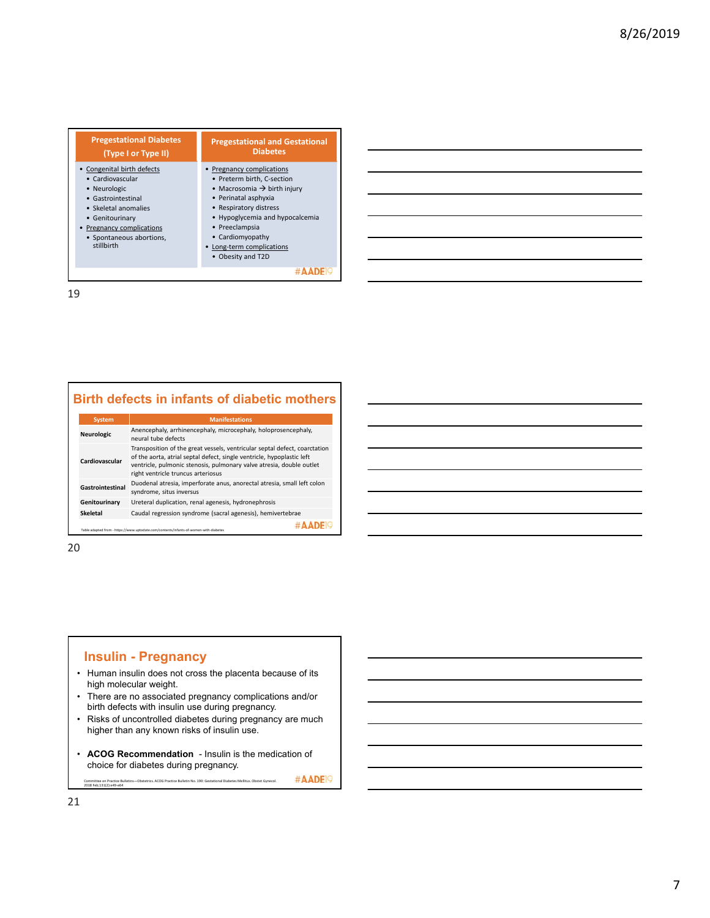| <b>Pregestational Diabetes</b><br>(Type I or Type II)                                                                                                                                                | <b>Pregestational and Gestational</b><br><b>Diabetes</b>                                                                                                                                                                                                                    |
|------------------------------------------------------------------------------------------------------------------------------------------------------------------------------------------------------|-----------------------------------------------------------------------------------------------------------------------------------------------------------------------------------------------------------------------------------------------------------------------------|
| • Congenital birth defects<br>• Cardiovascular<br>• Neurologic<br>• Gastrointestinal<br>• Skeletal anomalies<br>• Genitourinary<br>Pregnancy complications<br>• Spontaneous abortions,<br>stillbirth | Pregnancy complications<br>• Preterm birth, C-section<br>• Macrosomia $\rightarrow$ birth injury<br>• Perinatal asphyxia<br>• Respiratory distress<br>• Hypoglycemia and hypocalcemia<br>• Preeclampsia<br>• Cardiomyopathy<br>Long-term complications<br>• Obesity and T2D |
|                                                                                                                                                                                                      |                                                                                                                                                                                                                                                                             |

|  |  |  |  |  |  | <b>Birth defects in infants of diabetic mothers</b> |
|--|--|--|--|--|--|-----------------------------------------------------|
|--|--|--|--|--|--|-----------------------------------------------------|

| <b>System</b>                                                                                       | <b>Manifestations</b>                                                                                                                                                                                                                                              |  |  |  |
|-----------------------------------------------------------------------------------------------------|--------------------------------------------------------------------------------------------------------------------------------------------------------------------------------------------------------------------------------------------------------------------|--|--|--|
| Anencephaly, arrhinencephaly, microcephaly, holoprosencephaly,<br>Neurologic<br>neural tube defects |                                                                                                                                                                                                                                                                    |  |  |  |
| Cardiovascular                                                                                      | Transposition of the great vessels, ventricular septal defect, coarctation<br>of the aorta, atrial septal defect, single ventricle, hypoplastic left<br>ventricle, pulmonic stenosis, pulmonary valve atresia, double outlet<br>right ventricle truncus arteriosus |  |  |  |
| Gastrointestinal                                                                                    | Duodenal atresia, imperforate anus, anorectal atresia, small left colon<br>syndrome, situs inversus                                                                                                                                                                |  |  |  |
| Genitourinary                                                                                       | Ureteral duplication, renal agenesis, hydronephrosis                                                                                                                                                                                                               |  |  |  |
| <b>Skeletal</b>                                                                                     | Caudal regression syndrome (sacral agenesis), hemivertebrae                                                                                                                                                                                                        |  |  |  |
|                                                                                                     | Table adapted from - https://www.uptodate.com/contents/infants-of-women-with-diabetes                                                                                                                                                                              |  |  |  |

20

## **Insulin - Pregnancy**

- Human insulin does not cross the placenta because of its high molecular weight.
- There are no associated pregnancy complications and/or birth defects with insulin use during pregnancy.
- Risks of uncontrolled diabetes during pregnancy are much higher than any known risks of insulin use.
- **ACOG Recommendation** Insulin is the medication of choice for diabetes during pregnancy.

#AADE<sup>19</sup> Committee on Practice Bulletins—Obstetrics. ACOG Practice Bulletin No. 190: Gestational Diabetes Mellitus. Obstet Gynecol. 2018 Feb;131(2):e49‐e64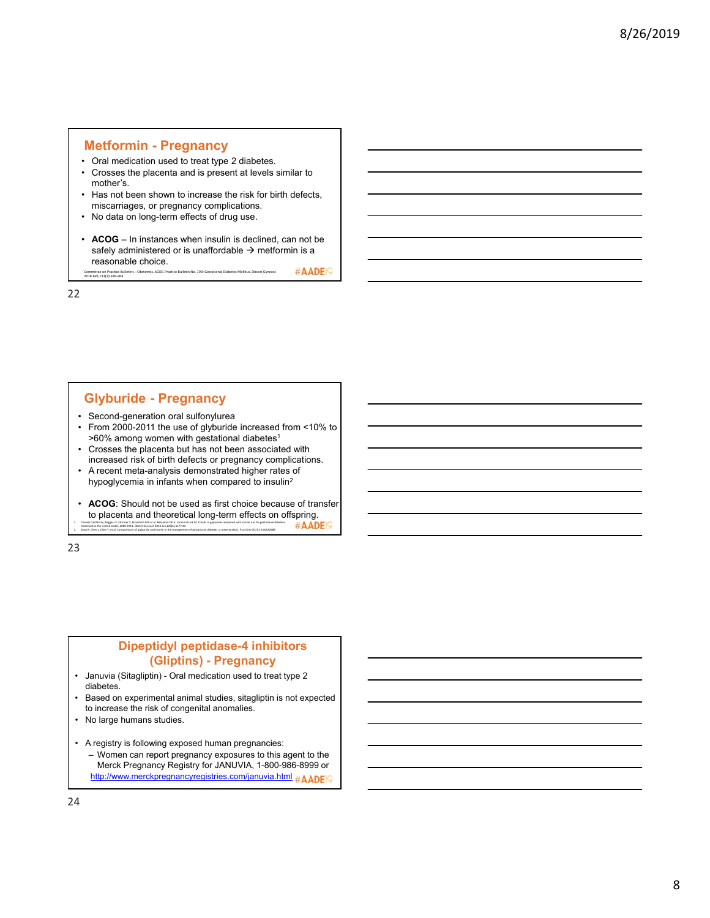### **Metformin - Pregnancy**

- Oral medication used to treat type 2 diabetes.
- Crosses the placenta and is present at levels similar to mother's.
- Has not been shown to increase the risk for birth defects, miscarriages, or pregnancy complications.
- No data on long-term effects of drug use.
- **ACOG** In instances when insulin is declined, can not be safely administered or is unaffordable  $\rightarrow$  metformin is a reasonable choice. #AADE<sup>O</sup>

Committee on Practice Bulletins—Obstetrics. ACOG Practice Bulletin No. 190: Gestational Diabetes Mellitus. Obstet Gynecol. 2018 Feb;131(2):e49‐e64

22

### **Glyburide - Pregnancy**

- Second-generation oral sulfonylurea
- From 2000-2011 the use of glyburide increased from <10% to >60% among women with gestational diabetes<sup>1</sup>
- Crosses the placenta but has not been associated with increased risk of birth defects or pregnancy complications.
- A recent meta-analysis demonstrated higher rates of hypoglycemia in infants when compared to insulin2
- **ACOG**: Should not be used as first choice because of transfer to placenta and theoretical long-term effects on offspring.<br>  $\#$ AADEIO 1. Camelo Castilo W, Boggess K, Stürmer T, Brookhart MA et al. Benjamin DK.kr, Jonsson Funk M. Trends in glyburide companed with insulin use for gestational diabetes<br>treatment in the United States, 2000-2011. Obstet Gyneol treatment in the United States, 2000‐2011. Obstet Gynecol. 2014 Jun;123(6):1177‐84<br>Song R, Chen L, Chen Y, et al. Comparisions of glyburide and insulin in the management of g

23

## **Dipeptidyl peptidase-4 inhibitors (Gliptins) - Pregnancy**

- Januvia (Sitagliptin) Oral medication used to treat type 2 diabetes.
- Based on experimental animal studies, sitagliptin is not expected to increase the risk of congenital anomalies.
- No large humans studies.
- A registry is following exposed human pregnancies: – Women can report pregnancy exposures to this agent to the
	- Merck Pregnancy Registry for JANUVIA, 1-800-986-8999 or http://www.merckpregnancyregistries.com/januvia.html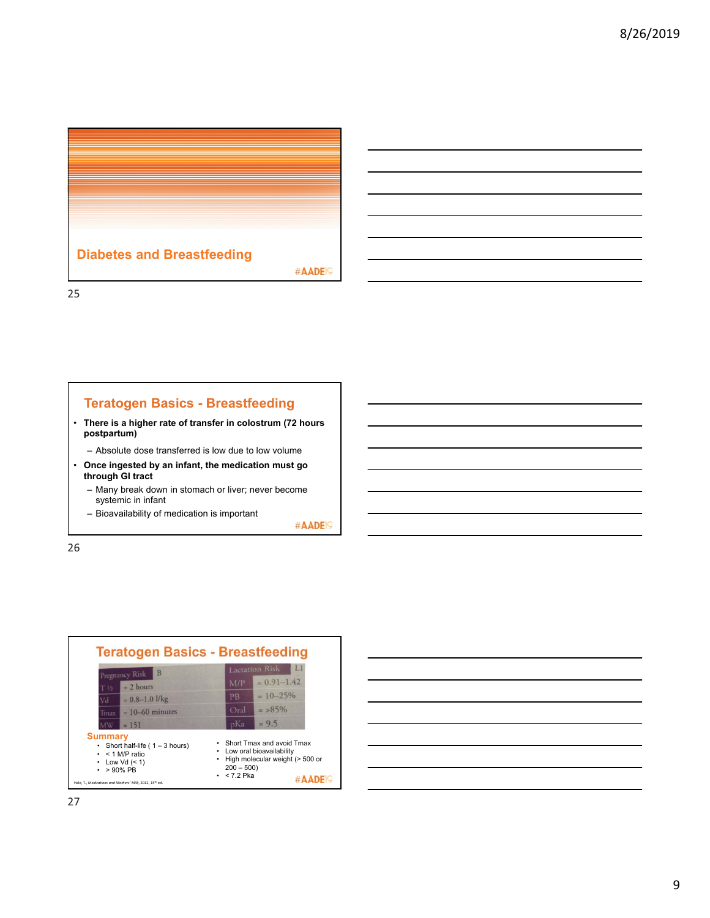

## **Teratogen Basics - Breastfeeding**

- **There is a higher rate of transfer in colostrum (72 hours postpartum)** 
	- Absolute dose transferred is low due to low volume
- **Once ingested by an infant, the medication must go through GI tract**
	- Many break down in stomach or liver; never become systemic in infant
	- Bioavailability of medication is important

#AADE<sup>19</sup>

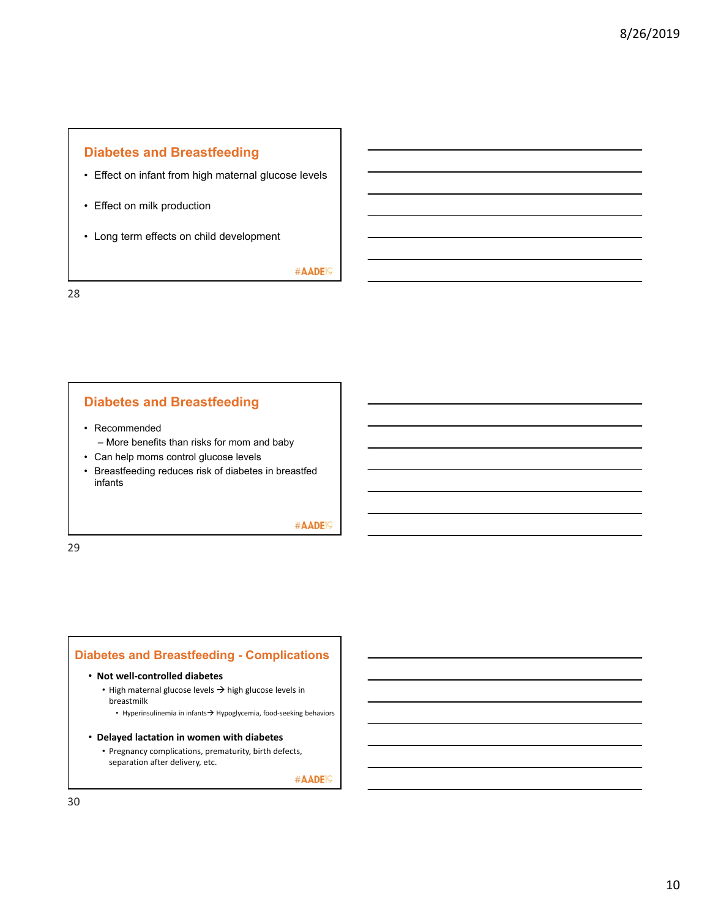# **Diabetes and Breastfeeding**

- Effect on infant from high maternal glucose levels
- Effect on milk production
- Long term effects on child development

#AADE<sup>19</sup>

28

## **Diabetes and Breastfeeding**

- Recommended
	- More benefits than risks for mom and baby
- Can help moms control glucose levels
- Breastfeeding reduces risk of diabetes in breastfed infants

### #AADE<sup>19</sup>

29

### **Diabetes and Breastfeeding - Complications**

#### • **Not well‐controlled diabetes**

- High maternal glucose levels  $\rightarrow$  high glucose levels in breastmilk
	- Hyperinsulinemia in infants $\rightarrow$  Hypoglycemia, food-seeking behaviors
- **Delayed lactation in women with diabetes**
	- Pregnancy complications, prematurity, birth defects, separation after delivery, etc.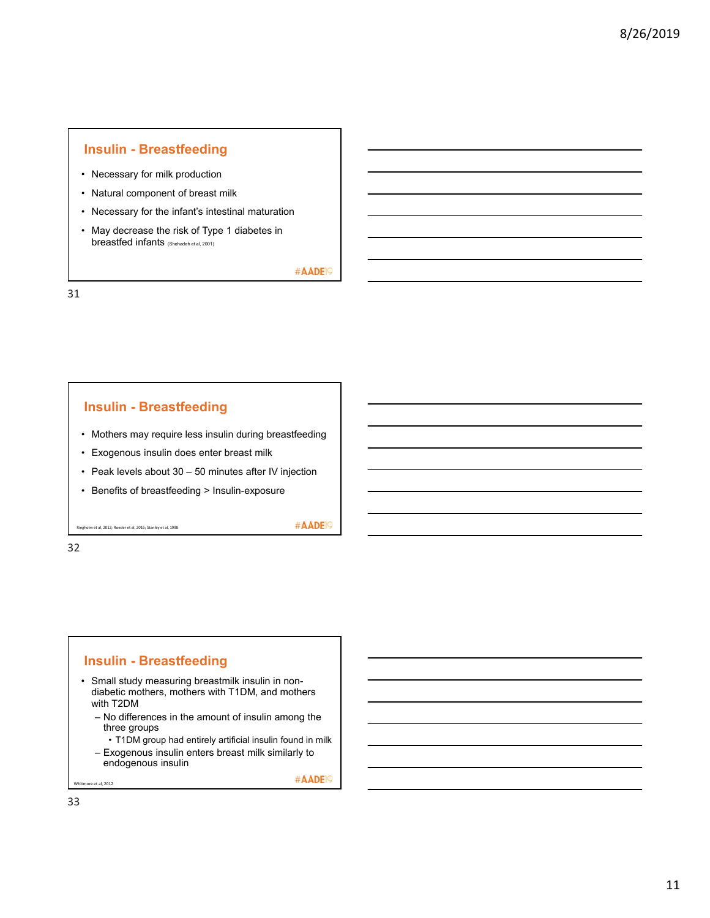### **Insulin - Breastfeeding**

- Necessary for milk production
- Natural component of breast milk
- Necessary for the infant's intestinal maturation
- May decrease the risk of Type 1 diabetes in breastfed infants (Shehadeh et al, 2001)

#AADE<sup>19</sup>

31

### **Insulin - Breastfeeding**

- Mothers may require less insulin during breastfeeding
- Exogenous insulin does enter breast milk
- Peak levels about 30 50 minutes after IV injection
- Benefits of breastfeeding > Insulin-exposure

Ringholm et al, 2012; Roeder et al, 2016; Stanley et al, 1998

32

# **Insulin - Breastfeeding**

- Small study measuring breastmilk insulin in nondiabetic mothers, mothers with T1DM, and mothers with T2DM
	- No differences in the amount of insulin among the three groups
		- T1DM group had entirely artificial insulin found in milk
	- Exogenous insulin enters breast milk similarly to endogenous insulin

#AADE<sup>19</sup>

#AADE<sup>19</sup>

re et al, 2012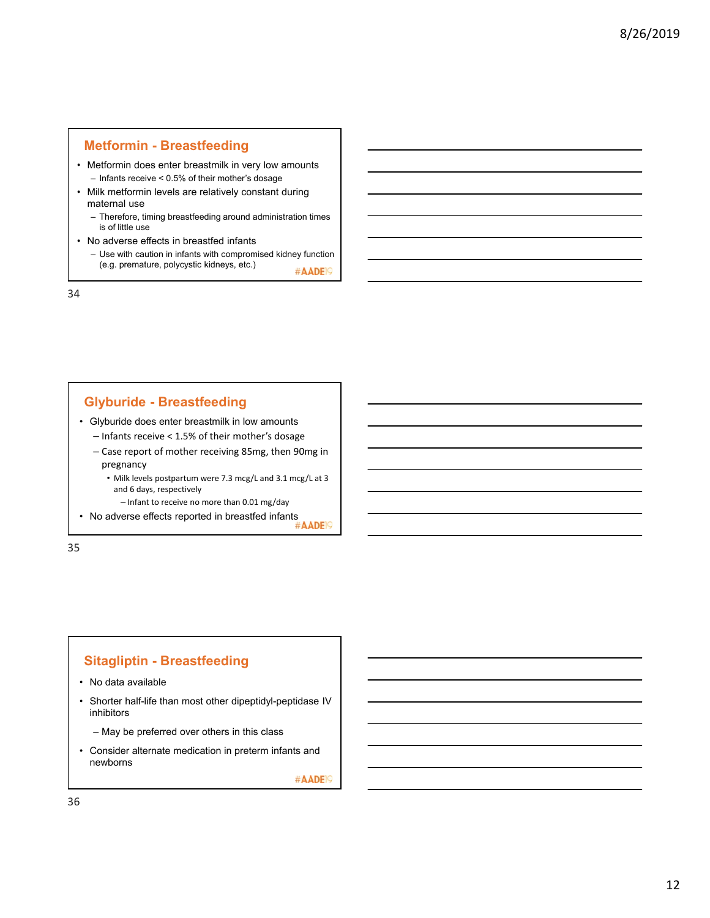### **Metformin - Breastfeeding**

- Metformin does enter breastmilk in very low amounts – Infants receive < 0.5% of their mother's dosage
- Milk metformin levels are relatively constant during maternal use
	- Therefore, timing breastfeeding around administration times is of little use
- No adverse effects in breastfed infants
	- Use with caution in infants with compromised kidney function (e.g. premature, polycystic kidneys, etc.) #AADE<sup>19</sup>

34

# **Glyburide - Breastfeeding**

• Glyburide does enter breastmilk in low amounts

- Infants receive < 1.5% of their mother's dosage
- Case report of mother receiving 85mg, then 90mg in pregnancy
	- Milk levels postpartum were 7.3 mcg/L and 3.1 mcg/L at 3 and 6 days, respectively
		- Infant to receive no more than 0.01 mg/day
- imancu receive i.e ....<br>● No adverse effects reported in breastfed infants #AADE

35

## **Sitagliptin - Breastfeeding**

- No data available
- Shorter half-life than most other dipeptidyl-peptidase IV inhibitors
	- May be preferred over others in this class
- Consider alternate medication in preterm infants and newborns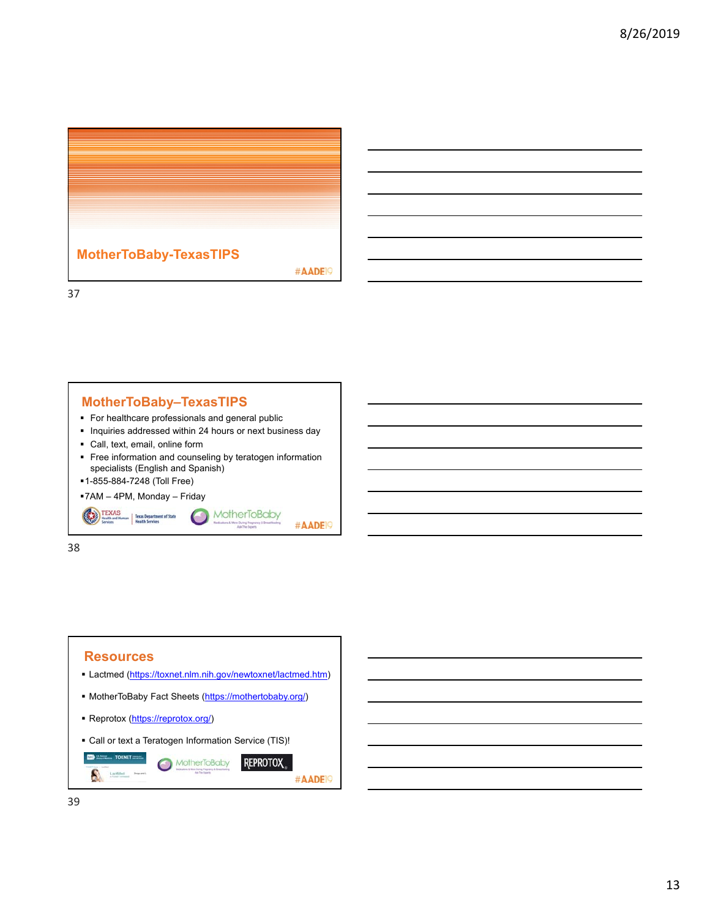

## **MotherToBaby–TexasTIPS**

- For healthcare professionals and general public
- **Inquiries addressed within 24 hours or next business day**
- Call, text, email, online form
- **Figure 1** Free information and counseling by teratogen information specialists (English and Spanish)

C

MotherToBaby

#AADE<sup>19</sup>

1-855-884-7248 (Toll Free)

7AM – 4PM, Monday – Friday

Texas Department of State<br>Health Services

38

TEXAS

### **Resources** Lactmed (https://toxnet.nlm.nih.gov/newtoxnet/lactmed.htm) • MotherToBaby Fact Sheets (https://mothertobaby.org/) Reprotox (https://reprotox.org/) Call or text a Teratogen Information Service (TIS)! m **MotherToBaby REPROTOX** A